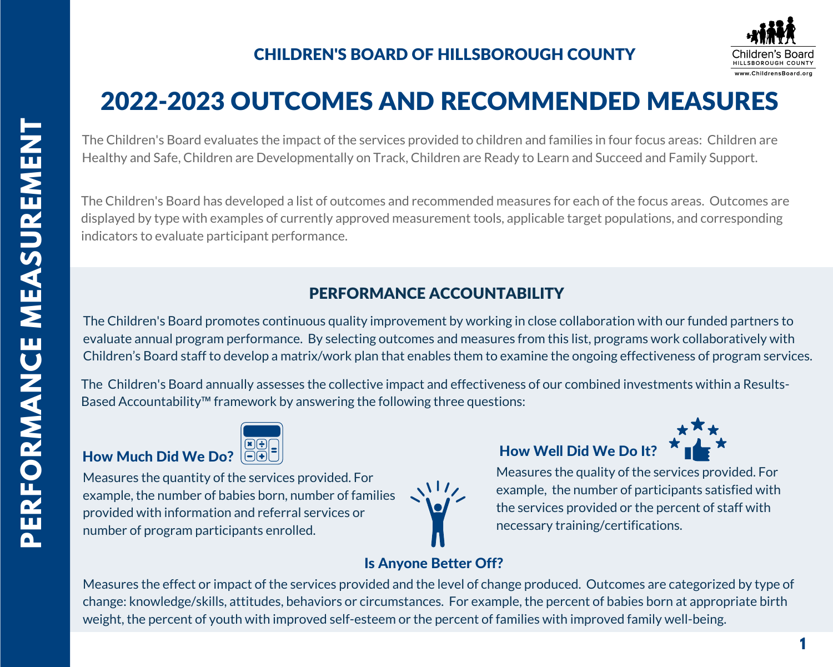

# 2022-2023 OUTCOMES AND RECOMMENDED MEASURES

The Children's Board evaluates the impact of the services provided to children and families in four focus areas: Children are Healthy and Safe, Children are Developmentally on Track, Children are Ready to Learn and Succeed and Family Support.

The Children's Board has developed a list of outcomes and recommended measures for each of the focus areas. Outcomes are displayed by type with examples of currently approved measurement tools, applicable target populations, and corresponding indicators to evaluate participant performance.

# PERFORMANCE ACCOUNTABILITY

The Children's Board promotes continuous quality improvement by working in close collaboration with our funded partners to evaluate annual program performance. By selecting outcomes and measures from this list, programs work collaboratively with Children's Board staff to develop a matrix/work plan that enables them to examine the ongoing effectiveness of program services.

The Children's Board annually assesses the collective impact and effectiveness of our combined investments within a Results-Based Accountability™ framework by answering the following three questions:



Measures the quantity of the services provided. For example, the number of babies born, number of families provided with information and referral services or number of program participants enrolled.



# How Well Did We Do It?



Measures the quality of the services provided. For example, the number of participants satisfied with the services provided or the percent of staff with necessary training/certifications.

# Is Anyone Better Off?

Measures the effect or impact of the services provided and the level of change produced. Outcomes are categorized by type of change: knowledge/skills, attitudes, behaviors or circumstances. For example, the percent of babies born at appropriate birth weight, the percent of youth with improved self-esteem or the percent of families with improved family well-being.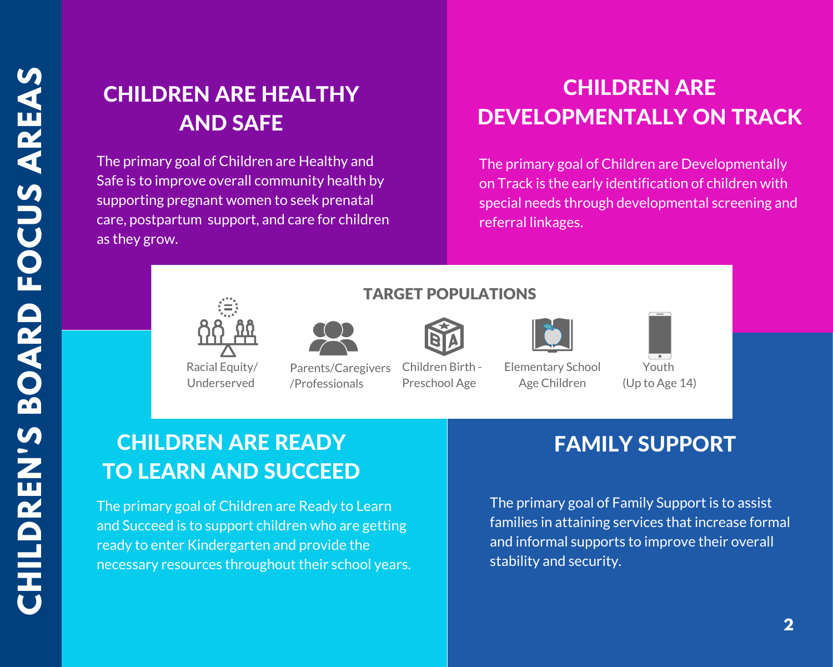# CHILDREN ARE HEALTHY AND SAFE

The primary goal of Children are Healthy and Safe is to improve overall community health by supporting pregnant women to seek prenatal care, postpartum support, and care for children as they grow.

# **CHILDREN ARE** DEVELOPMENTALLY ON TRACK

The primary goal of Children are Developmentally on Track is the early identification of children with special needs through developmental screening and referral linkages.



Racial Equity/ Underserved

Parents/Caregivers /Professionals

Children Birth - Preschool Age

TARGET POPULATIONS

Elementary School Age Children



Youth (Up to Age 14)

# CHILDREN ARE READY **FAMILY SUPPORT** TO LEARN AND SUCCEED

The primary goal of Children are Ready to Learn and Succeed is to support children who are getting ready to enter Kindergarten and provide the necessary resources throughout their school years.

The primary goal of Family Support is to assist families in attaining services that increase formal and informal supports to improve their overall stability and security.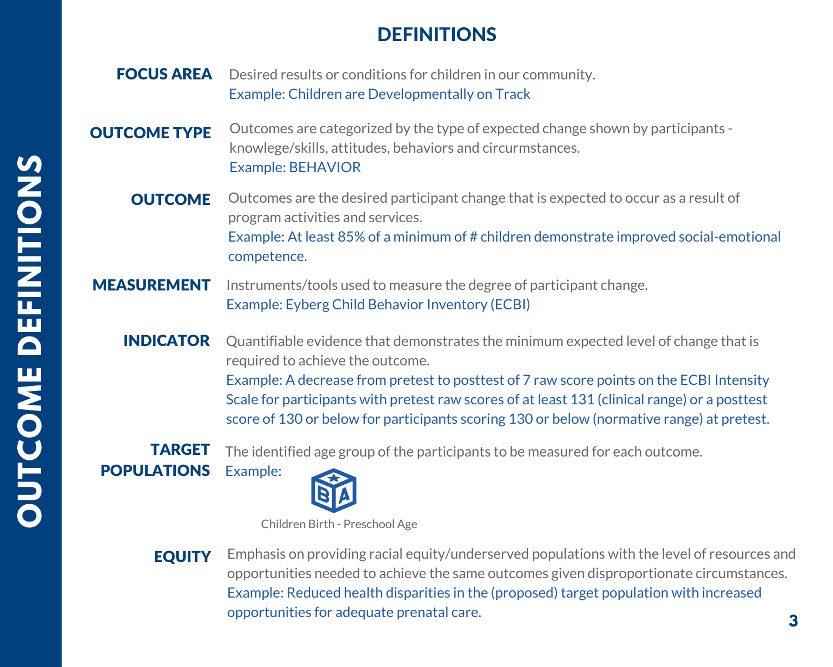# DEFINITIONS

- FOCUS AREA Desired results or conditions for children in our community. Example: Children are Developmentally on Track
- OUTCOME TYPE Outcomes are categorized by the type of expected change shown by participants knowlege/skills, attitudes, behaviors and circurmstances. Example: BEHAVIOR
	- **OUTCOME** Outcomes are the desired participant change that is expected to occur as a result of program activities and services. Example: At least 85% of a minimum of # children demonstrate improved social-emotional competence.
- MEASUREMENT Instruments/tools used to measure the degree of participant change. Example: Eyberg Child Behavior Inventory (ECBI)
	- Quantifiable evidence that demonstrates the minimum expected level of change that is required to achieve the outcome. INDICATOR

Example: A decrease from pretest to posttest of 7 raw score points on the ECBI Intensity Scale for participants with pretest raw scores of at least 131 (clinical range) or a posttest score of 130 or below for participants scoring 130 or below (normative range) at pretest.

TARGET

The identified age group of the participants to be measured for each outcome.

Example: **POPULATIONS** 



Children Birth - Preschool Age

EQUITY Emphasis on providing racial equity/underserved populations with the level of resources and opportunities needed to achieve the same outcomes given disproportionate circumstances. Example: Reduced health disparities in the (proposed) target population with increased opportunities for adequate prenatal care.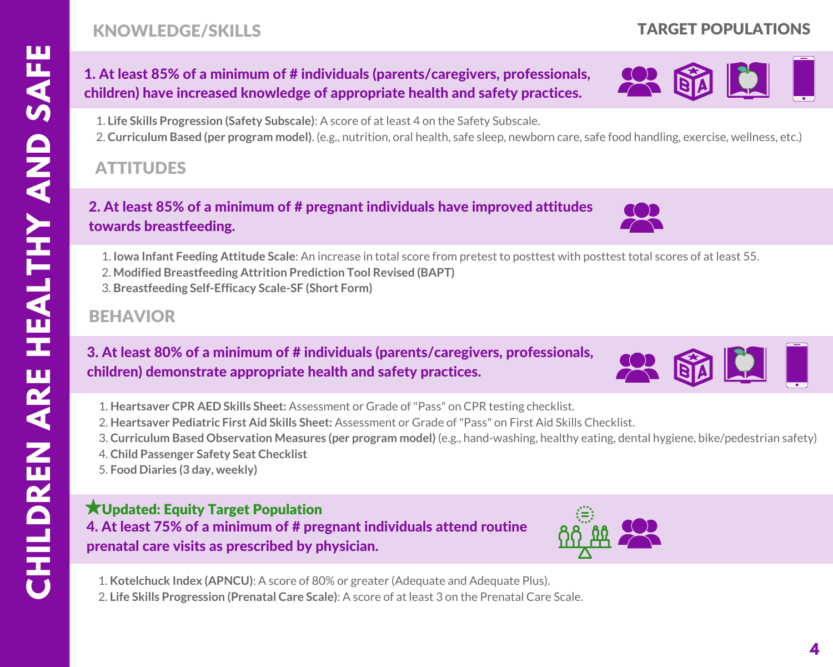# KNOWLEDGE/SKILLS

# TARGET POPULATIONS

# 1. At least 85% of a minimum of # individuals (parents/caregivers, professionals, children) have increased knowledge of appropriate health and safety practices.

1. **Life Skills Progression (Safety Subscale)**: A score of at least 4 on the Safety Subscale.

2. **Curriculum Based (per program model)**. (e.g., nutrition, oral health, safe sleep, newborn care, safe food handling, exercise, wellness, etc.)

# ATTITUDES

# 2. At least 85% of a minimum of # pregnant individuals have improved attitudes towards breastfeeding.

1. **Iowa Infant Feeding Attitude Scale**: An increase in total score from pretest to posttest with posttest total scores of at least 55.

- 2. **Modified Breastfeeding Attrition Prediction Tool Revised (BAPT)**
- 3. **Breastfeeding Self-Efficacy Scale-SF (Short Form)**

# BEHAVIOR

### 3. At least 80% of a minimum of # individuals (parents/caregivers, professionals, children) demonstrate appropriate health and safety practices.

- 1. **Heartsaver CPR AED Skills Sheet:** Assessment or Grade of"Pass" on CPR testing checklist.
- 2. **Heartsaver Pediatric First Aid Skills Sheet:** Assessment or Grade of"Pass" on First Aid Skills Checklist.
- 3. **Curriculum Based Observation Measures (per program model)** (e.g., hand-washing, healthy eating, dental hygiene, bike/pedestrian safety)
- 4. **Child Passenger Safety Seat Checklist**
- 5. **Food Diaries (3 day, weekly)**

#### 4. At least 75% of a minimum of # pregnant individuals attend routine prenatal care visits as prescribed by physician. Updated: Equity Target Population



2. **Life Skills Progression (Prenatal Care Scale)**: A score of at least 3 on the Prenatal Care Scale.







X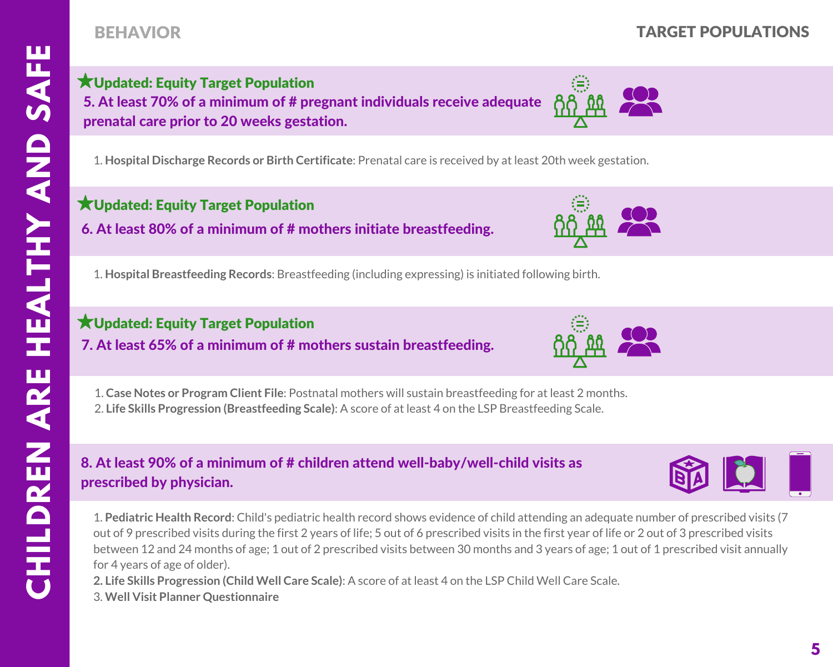# BEHAVIOR TARGET POPULATIONS

5. At least 70% of a minimum of # pregnant individuals receive adequate prenatal care prior to 20 weeks gestation. Updated: Equity Target Population

1. **Hospital Discharge Records or Birth Certificate**: Prenatal care is received by at least 20th week gestation.

### Updated: Equity Target Population

6. At least 80% of a minimum of # mothers initiate breastfeeding.

1. **Hospital Breastfeeding Records**: Breastfeeding (including expressing) is initiated following birth.

# Updated: Equity Target Population

7. At least 65% of a minimum of # mothers sustain breastfeeding.

1. **Case Notes or Program Client File**: Postnatal mothers will sustain breastfeeding for at least 2 months. 2. **Life Skills Progression (Breastfeeding Scale)**: A score of at least 4 on the LSP Breastfeeding Scale.

### 8. At least 90% of a minimum of # children attend well-baby/well-child visits as prescribed by physician.

1. **Pediatric Health Record**: Child's pediatric health record shows evidence of child attending an adequate number of prescribed visits (7 out of 9 prescribed visits during the first 2 years of life; 5 out of 6 prescribed visits in the first year of life or 2 out of 3 prescribed visits between 12 and 24 months of age; 1 out of 2 prescribed visits between 30 months and 3 years of age; 1 out of 1 prescribed visit annually for 4 years of age of older).

**2. Life Skills Progression (Child Well Care Scale)**: A score of at least 4 on the LSP Child Well Care Scale. 3. **Well Visit Planner Questionnaire**







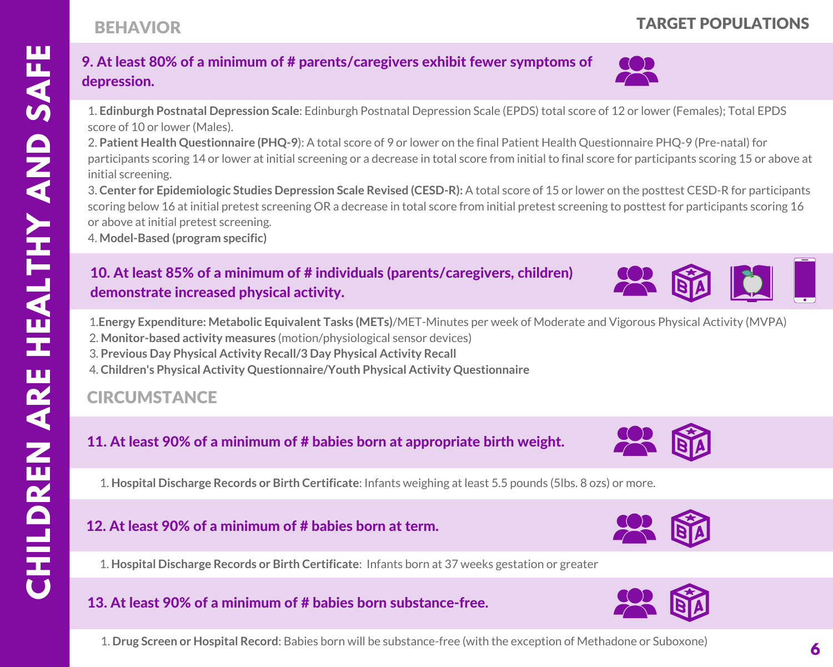# 9. At least 80% of a minimum of # parents/caregivers exhibit fewer symptoms of depression.

1. **Edinburgh Postnatal Depression Scale**: Edinburgh Postnatal Depression Scale (EPDS) total score of 12 or lower (Females); Total EPDS score of 10 or lower (Males).

2. **Patient Health Questionnaire (PHQ-9**): A total score of 9 or lower on the final Patient Health Questionnaire PHQ-9 (Pre-natal) for participants scoring 14 or lower at initial screening or a decrease in total score from initial to final score for participants scoring 15 or above at initial screening.

3. **Center for Epidemiologic Studies Depression Scale Revised (CESD-R):** A total score of 15 or lower on the posttest CESD-R for participants scoring below 16 at initial pretest screening OR a decrease in total score from initial pretest screening to posttest for participants scoring 16 or above at initial pretest screening.

4. **Model-Based (program specific)**

# 10. At least 85% of a minimum of # individuals (parents/caregivers, children) demonstrate increased physical activity.

1.**Energy Expenditure: Metabolic Equivalent Tasks (METs)**/MET-Minutes per week of Moderate and Vigorous Physical Activity (MVPA) 2. **Monitor-based activity measures** (motion/physiological sensor devices)

- 3. **Previous Day Physical Activity Recall/3 Day Physical Activity Recall**
- 4. **Children's Physical Activity Questionnaire/Youth Physical Activity Questionnaire**

# **CIRCUMSTANCE**

**CHII II II LDREN**

**A**

**A**

**Y**

**A**

**N**

**D**

**S** 

**FE**

**A**

**RE**

**HE**

**LTH**

# 11. At least 90% of a minimum of # babies born at appropriate birth weight.

1. **Hospital Discharge Records or Birth Certificate**: Infants weighing at least 5.5 pounds (5lbs. 8 ozs) or more.

# 12. At least 90% of a minimum of # babies born at term.



# 13. At least 90% of a minimum of # babies born substance-free.

1. **Drug Screen or Hospital Record**: Babies born will be substance-free (with the exception of Methadone or Suboxone)





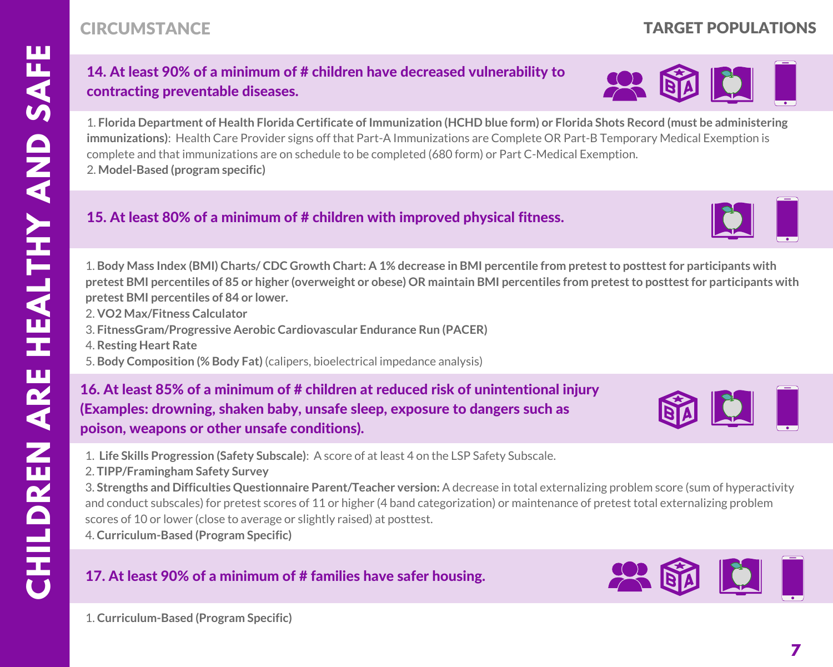### 14. At least 90% of a minimum of # children have decreased vulnerability to contracting preventable diseases.

1. Florida Department of Health Florida Certificate of Immunization (HCHD blue form) or Florida Shots Record (must be administering **immunizations)**: Health Care Provider signs off that Part-A Immunizations are Complete OR Part-B Temporary Medical Exemption is complete and that immunizations are on schedule to be completed (680 form) or Part C-Medical Exemption. 2. **Model-Based (program specific)**

#### 15. At least 80% of a minimum of # children with improved physical fitness.

1. Body Mass Index (BMI) Charts/CDC Growth Chart: A 1% decrease in BMI percentile from pretest to posttest for participants with pretest BMI percentiles of 85 or higher (overweight or obese) OR maintain BMI percentiles from pretest to posttest for participants with **pretest BMI percentiles of 84 or lower.**

- 2. **VO2 Max/Fitness Calculator**
- 3. **FitnessGram/Progressive Aerobic Cardiovascular Endurance Run (PACER)**
- 4. **Resting Heart Rate**
- 5. **Body Composition (% Body Fat)** (calipers, bioelectrical impedance analysis)

 (Examples: drowning, shaken baby, unsafe sleep, exposure to dangers such as 16. At least 85% of a minimum of # children at reduced risk of unintentional injury poison, weapons or other unsafe conditions).

1. **Life Skills Progression (Safety Subscale)**: A score of at least 4 on the LSP Safety Subscale.

2. **TIPP/Framingham Safety Survey**

3. **Strengths and Difficulties Questionnaire Parent/Teacher version:** A decrease in total externalizing problem score (sum of hyperactivity and conduct subscales) for pretest scores of 11 or higher (4 band categorization) or maintenance of pretest total externalizing problem scores of 10 or lower (close to average or slightly raised) at posttest.

4. **Curriculum-Based (Program Specific)**

#### 17. At least 90% of a minimum of # families have safer housing.



### CIRCUMSTANCE TARGET POPULATIONS



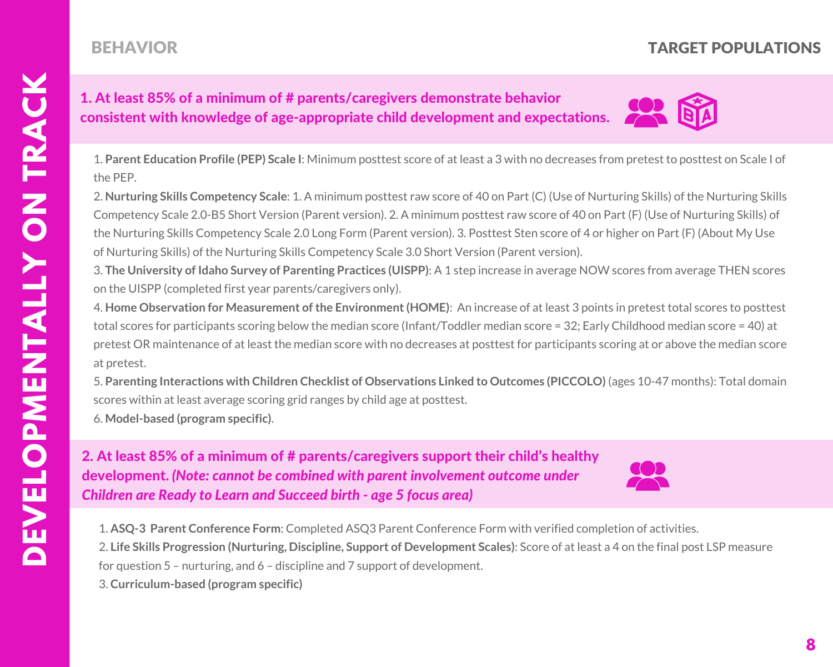# BEHAVIOR

# TARGET POPULATIONS

#### 1. At least 85% of a minimum of # parents/caregivers demonstrate behavior consistent with knowledge of age-appropriate child development and expectations.



1. **Parent Education Profile (PEP) Scale I**: Minimum posttest score of at least a 3 with no decreases from pretest to posttest on Scale I of the PEP.

2. **Nurturing Skills Competency Scale**: 1. A minimum posttest raw score of 40 on Part (C) (Use of Nurturing Skills) of the Nurturing Skills Competency Scale 2.0-B5 Short Version (Parent version). 2. A minimum posttest raw score of 40 on Part (F) (Use of Nurturing Skills) of the Nurturing Skills Competency Scale 2.0 Long Form (Parent version). 3. Posttest Sten score of 4 or higher on Part (F) (About My Use of Nurturing Skills) of the Nurturing Skills Competency Scale 3.0 Short Version (Parent version).

3. **The University of Idaho Survey of Parenting Practices (UISPP)**: A 1 step increase in average NOW scores from average THEN scores on the UISPP (completed first year parents/caregivers only).

4. **Home Observation for Measurement ofthe Environment(HOME)**: An increase of at least 3 points in pretest total scores to posttest total scores for participants scoring below the median score (Infant/Toddler median score = 32; Early Childhood median score = 40) at pretest OR maintenance of at least the median score with no decreases at posttest for participants scoring at or above the median score at pretest.

5. **Parenting Interactions with Children Checklist of Observations Linked to Outcomes (PICCOLO)** (ages 10-47 months): Total domain scores within at least average scoring grid ranges by child age at posttest.

6. **Model-based (program specific)**.

 development. *(Note: cannot be combined with parent involvement outcome under* 2. At least 85% of a minimum of # parents/caregivers support their child's healthy *Children are Ready to Learn and Succeed birth - age 5 focus area)*



1. **ASQ-3 Parent Conference Form**: Completed ASQ3 Parent Conference Form with verified completion of activities. 2. **Life Skills Progression (Nurturing, Discipline, Support of Development Scales)**: Score of at least a 4 on the final post LSP measure

for question 5 – nurturing, and 6 – discipline and 7 support of development.

3. **Curriculum-based (program specific)**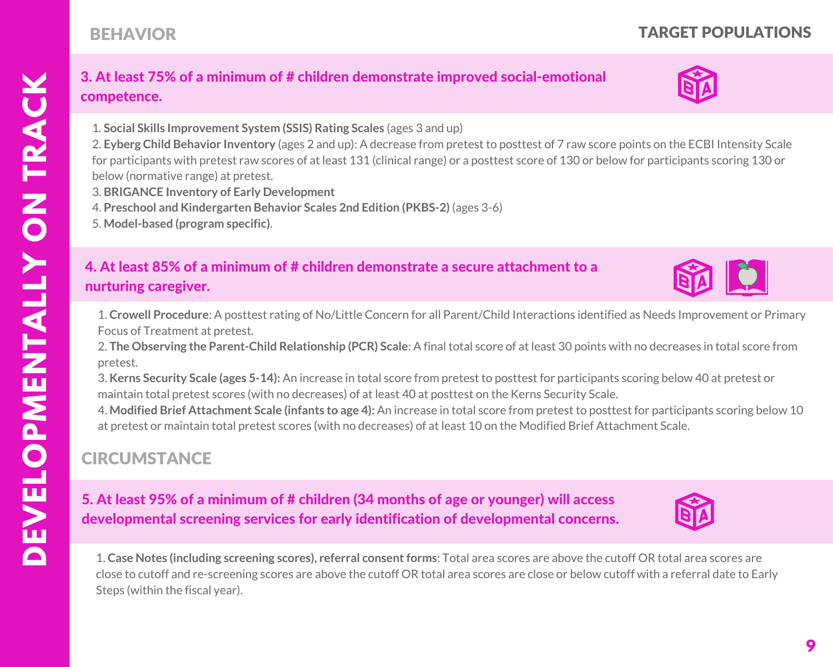**D**

# TARGET POPULATIONS

#### 3. At least 75% of a minimum of # children demonstrate improved social-emotional competence.

1. **Social Skills Improvement System (SSIS) Rating Scales** (ages 3 and up)

2. **Eyberg Child Behavior Inventory** (ages 2 and up): A decrease from pretest to posttest of 7 raw score points on the ECBI Intensity Scale for participants with pretest raw scores of at least 131 (clinical range) or a posttest score of 130 or below for participants scoring 130 or below (normative range) at pretest.

- 3. **BRIGANCE Inventory of Early Development**
- 4. **Preschool and Kindergarten Behavior Scales 2nd Edition (PKBS-2)** (ages 3-6)
- 5. **Model-based (program specific)**.

BEHAVIOR

#### 4. At least 85% of a minimum of # children demonstrate a secure attachment to a nurturing caregiver.

1. **Crowell Procedure**: A posttest rating of No/Little Concern for all Parent/Child Interactions identified as Needs Improvement or Primary Focus of Treatment at pretest.

2. **The Observing the Parent-Child Relationship (PCR) Scale**: A final total score of at least 30 points with no decreases in total score from pretest.

3. **Kerns Security Scale (ages 5-14):** An increase in total score from pretest to posttest for participants scoring below 40 at pretest or maintain total pretest scores (with no decreases) of at least 40 at posttest on the Kerns Security Scale.

4. **Modified Brief Attachment Scale (infants to age 4):** An increase in total score from pretest to posttest for participants scoring below 10 at pretest or maintain total pretest scores (with no decreases) of at least 10 on the Modified Brief Attachment Scale.

# **CIRCUMSTANCE**

5. At least 95% of a minimum of # children (34 months of age or younger) will access developmental screening services for early identification of developmental concerns.

1. **Case Notes (including screening scores), referral consentforms**: Total area scores are above the cutoff OR total area scores are close to cutoff and re-screening scores are above the cutoff OR total area scores are close or below cutoff with a referral date to Early Steps (within the fiscal year).





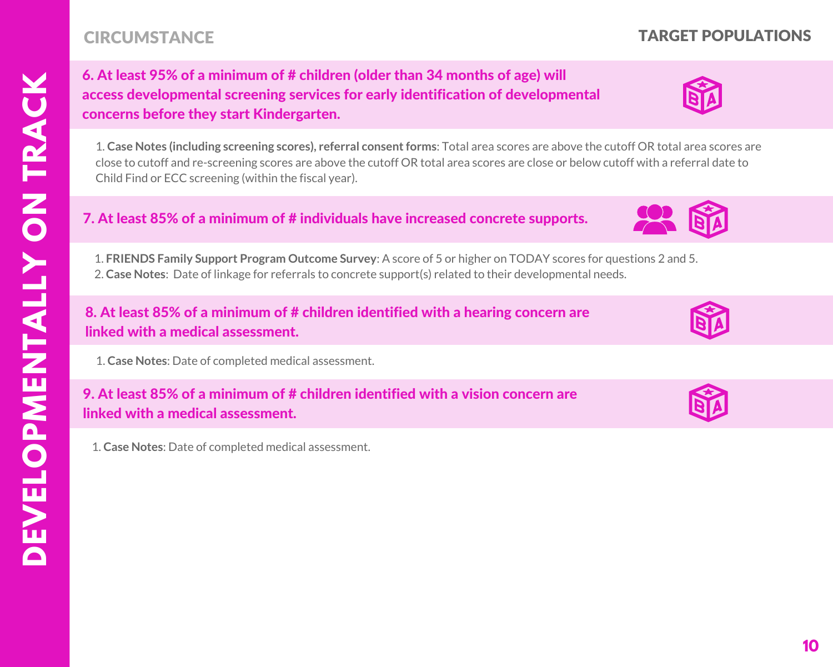# 6. At least 95% of a minimum of # children (older than 34 months of age) will access developmental screening services for early identification of developmental concerns before they start Kindergarten.

1. **Case Notes (including screening scores), referral consentforms**: Total area scores are above the cutoff OR total area scores are close to cutoff and re-screening scores are above the cutoff OR total area scores are close or below cutoff with a referral date to Child Find or ECC screening (within the fiscal year).

#### 7. At least 85% of a minimum of # individuals have increased concrete supports.

1. **FRIENDS Family Support Program Outcome Survey**: A score of 5 or higher on TODAY scores for questions 2 and 5. 2. **Case Notes**: Date of linkage for referrals to concrete support(s) related to their developmental needs.

#### 8. At least 85% of a minimum of # children identified with a hearing concern are linked with a medical assessment.

1. **Case Notes**: Date of completed medical assessment.

### 9. At least 85% of a minimum of # children identified with a vision concern are linked with a medical assessment.

1. **Case Notes**: Date of completed medical assessment.



TARGET POPULATIONS



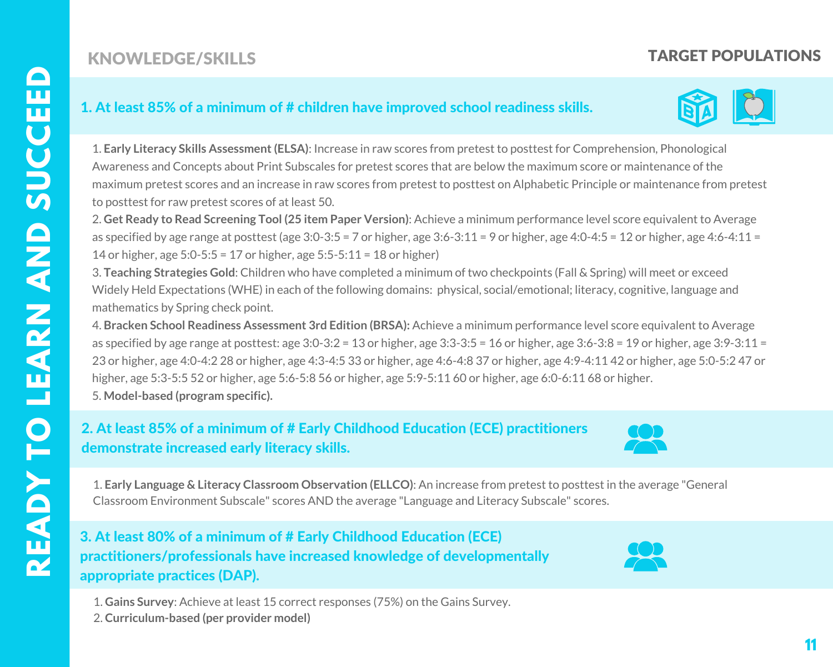# KNOWLEDGE/SKILLS

# TARGET POPULATIONS

#### 1. At least 85% of a minimum of # children have improved school readiness skills.



1. **Early Literacy Skills Assessment(ELSA)**: Increase in raw scores from pretest to posttest for Comprehension, Phonological Awareness and Concepts about Print Subscales for pretest scores that are below the maximum score or maintenance of the maximum pretest scores and an increase in raw scores from pretest to posttest on Alphabetic Principle or maintenance from pretest to posttest for raw pretest scores of at least 50.

2. **Get Ready to Read Screening Tool (25 item Paper Version)**: Achieve a minimum performance level score equivalent to Average as specified by age range at posttest (age  $3:0-3:5=7$  or higher, age  $3:6-3:11=9$  or higher, age  $4:0-4:5=12$  or higher, age  $4:6-4:11=$ 14 or higher, age 5:0-5:5 = 17 or higher, age 5:5-5:11 = 18 or higher)

3. **Teaching Strategies Gold**: Children who have completed a minimum of two checkpoints (Fall & Spring) will meet or exceed Widely Held Expectations (WHE) in each of the following domains: physical, social/emotional; literacy, cognitive, language and mathematics by Spring check point.

4. **Bracken School Readiness Assessment 3rd Edition (BRSA):** Achieve a minimum performance level score equivalent to Average as specified by age range at posttest: age 3:0-3:2 = 13 or higher, age 3:3-3:5 = 16 or higher, age 3:6-3:8 = 19 or higher, age 3:9-3:11 = 23 or higher, age 4:0-4:2 28 or higher, age 4:3-4:5 33 or higher, age 4:6-4:8 37 or higher, age 4:9-4:11 42 or higher, age 5:0-5:2 47 or higher, age 5:3-5:5 52 or higher, age 5:6-5:8 56 or higher, age 5:9-5:11 60 or higher, age 6:0-6:11 68 or higher. 5. **Model-based (program specific).**

 demonstrate increased early literacy skills. 2. At least 85% of a minimum of # Early Childhood Education (ECE) practitioners



1. **Early Language & Literacy Classroom Observation (ELLCO)**: An increase from pretest to posttest in the average "General Classroom Environment Subscale" scores AND the average "Language and Literacy Subscale" scores.

 appropriate practices (DAP). 3. At least 80% of a minimum of # Early Childhood Education (ECE) practitioners/professionals have increased knowledge of developmentally



1. **Gains Survey**: Achieve at least 15 correct responses (75%) on the Gains Survey.

2. **Curriculum-based (per provider model)**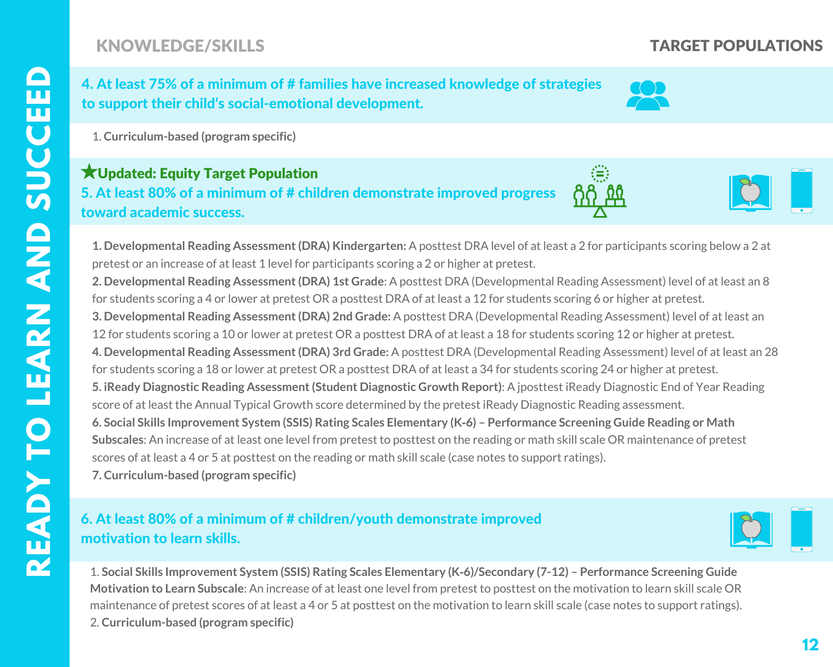# KNOWLEDGE/SKILLS

 4. At least 75% of a minimum of # families have increased knowledge of strategies to support their child's social-emotional development.



1. **Curriculum-based (program specific)**

#### 5. At least 80% of a minimum of # children demonstrate improved progress Updated: Equity Target Populationtoward academic success.

**1. Developmental Reading Assessment(DRA) Kindergarten:** A posttest DRA level of at least a 2 for participants scoring below a 2 at pretest or an increase of at least 1 level for participants scoring a 2 or higher at pretest.

**2. Developmental Reading Assessment(DRA) 1st Grade**: A posttest DRA (Developmental Reading Assessment) level of at least an 8 for students scoring a 4 or lower at pretest OR a posttest DRA of at least a 12 for students scoring 6 or higher at pretest. **3. Developmental Reading Assessment(DRA) 2nd Grade:** A posttest DRA (Developmental Reading Assessment) level of at least an 12 for students scoring a 10 or lower at pretest OR a posttest DRA of at least a 18 for students scoring 12 or higher at pretest. **4. Developmental Reading Assessment(DRA) 3rd Grade:** A posttest DRA (Developmental Reading Assessment) level of at least an 28 for students scoring a 18 or lower at pretest OR a posttest DRA of at least a 34 for students scoring 24 or higher at pretest. **5. iReady Diagnostic Reading Assessment(Student Diagnostic Growth Report)**: A jposttest iReady Diagnostic End of Year Reading score of at least the Annual Typical Growth score determined by the pretest iReady Diagnostic Reading assessment. 6. Social Skills Improvement System (SSIS) Rating Scales Elementary (K-6) - Performance Screening Guide Reading or Math **Subscales**: An increase of at least one level from pretest to posttest on the reading or math skill scale OR maintenance of pretest scores of at least a 4 or 5 at posttest on the reading or math skill scale (case notes to support ratings). **7. Curriculum-based (program specific)**

### 6. At least 80% of a minimum of # children/youth demonstrate improved motivation to learn skills.



1. Social Skills Improvement System (SSIS) Rating Scales Elementary (K-6)/Secondary (7-12) - Performance Screening Guide **Motivation to Learn Subscale**: An increase of at least one level from pretest to posttest on the motivation to learn skill scale OR maintenance of pretest scores of at least a 4 or 5 at posttest on the motivation to learn skill scale (case notes to support ratings). 2. **Curriculum-based (program specific)**

### TARGET POPULATIONS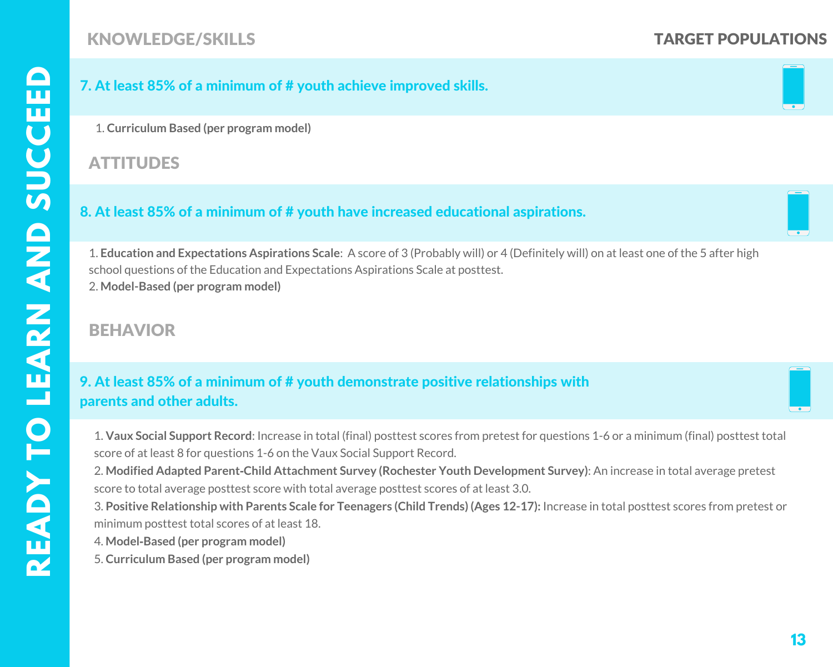# KNOWLEDGE/SKILLS TARGET POPULATIONS

#### 7. At least 85% of a minimum of # youth achieve improved skills.

1. **Curriculum Based (per program model)**

#### **ATTITUDES**

#### 8. At least 85% of a minimum of # youth have increased educational aspirations.

1. **Education and Expectations Aspirations Scale**: A score of 3 (Probably will) or 4 (Definitely will) on at least one of the 5 after high school questions of the Education and Expectations Aspirations Scale at posttest. 2. **Model-Based (per program model)**

# BEHAVIOR

#### 9. At least 85% of a minimum of # youth demonstrate positive relationships with parents and other adults.

1. **Vaux Social Support Record**: Increase in total (final) posttest scores from pretest for questions 1-6 or a minimum (final) posttest total score of at least 8 for questions 1-6 on the Vaux Social Support Record.

2. **Modified Adapted Parent‐Child Attachment Survey (Rochester Youth Development Survey)**: An increase in total average pretest score to total average posttest score with total average posttest scores of at least 3.0.

3. **Positive Relationship with Parents Scale for Teenagers (Child Trends) (Ages 12-17):** Increase in total posttest scores from pretest or minimum posttest total scores of at least 18.

- 4. **Model‐Based (per program model)**
- 5. **Curriculum Based (per program model)**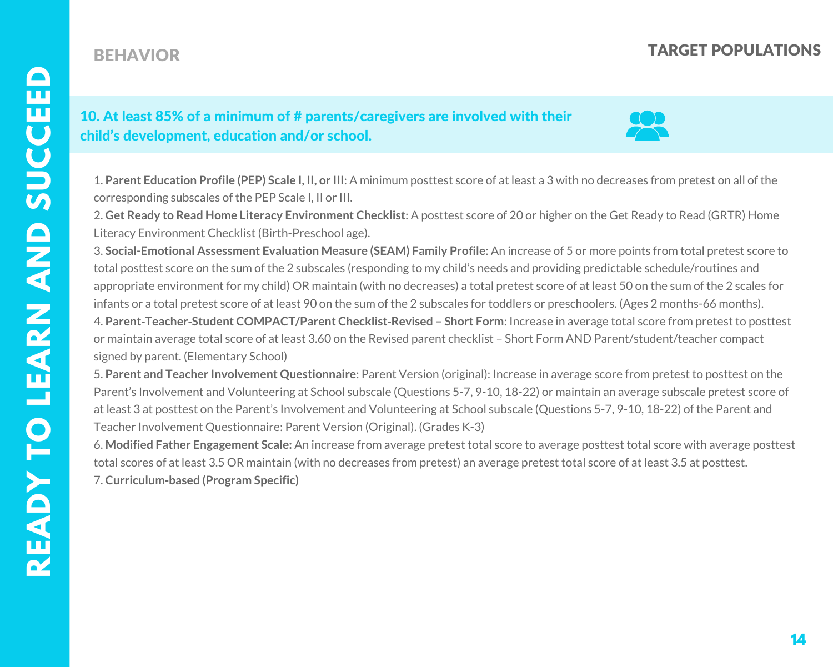# BEHAVIOR TARGET POPULATIONS

#### 10. At least 85% of a minimum of # parents/caregivers are involved with their child's development, education and/or school.

1. **Parent Education Profile (PEP) Scale I, II, or III**: A minimum posttest score of at least a 3 with no decreases from pretest on all of the corresponding subscales of the PEP Scale I, II or III.

2. **Get Ready to Read Home Literacy Environment Checklist**: A posttest score of 20 or higher on the Get Ready to Read (GRTR) Home Literacy Environment Checklist (Birth-Preschool age).

3. **Social-Emotional Assessment Evaluation Measure (SEAM) Family Profile**: An increase of 5 or more points from total pretest score to total posttest score on the sum of the 2 subscales (responding to my child's needs and providing predictable schedule/routines and appropriate environment for my child) OR maintain (with no decreases) a total pretest score of at least 50 on the sum of the 2 scales for infants or a total pretest score of at least 90 on the sum of the 2 subscales for toddlers or preschoolers. (Ages 2 months-66 months). 4. **Parent‐Teacher‐Student COMPACT/Parent Checklist‐Revised – Short Form**: Increase in average total score from pretest to posttest or maintain average total score of at least 3.60 on the Revised parent checklist – Short Form AND Parent/student/teacher compact signed by parent. (Elementary School)

5. **Parent and Teacher Involvement Questionnaire**: Parent Version (original): Increase in average score from pretest to posttest on the Parent's Involvement and Volunteering at School subscale (Questions 5-7, 9-10, 18-22) or maintain an average subscale pretest score of at least 3 at posttest on the Parent's Involvement and Volunteering at School subscale (Questions 5-7, 9-10, 18-22) of the Parent and Teacher Involvement Questionnaire: Parent Version (Original). (Grades K-3)

6. **Modified Father Engagement Scale:** An increase from average pretest total score to average posttest total score with average posttest total scores of at least 3.5 OR maintain (with no decreases from pretest) an average pretest total score of at least 3.5 at posttest. 7. **Curriculum‐based (Program Specific)**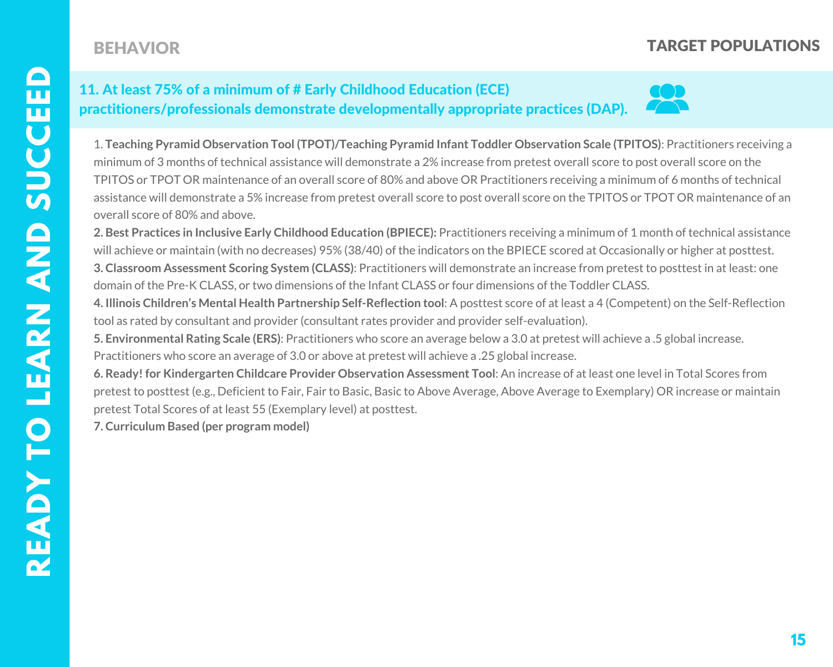# BEHAVIOR

# TARGET POPULATIONS

### 11. At least 75% of a minimum of # Early Childhood Education (ECE) practitioners/professionals demonstrate developmentally appropriate practices (DAP).



1. **Teaching Pyramid Observation Tool (TPOT)/Teaching Pyramid Infant Toddler Observation Scale (TPITOS)**: Practitioners receiving a minimum of 3 months of technical assistance will demonstrate a 2% increase from pretest overall score to post overall score on the TPITOS or TPOT OR maintenance of an overall score of 80% and above OR Practitioners receiving a minimum of 6 months of technical assistance will demonstrate a 5% increase from pretest overall score to post overall score on the TPITOS or TPOT OR maintenance of an overall score of 80% and above.

**2. Best Practices in Inclusive Early Childhood Education (BPIECE):** Practitioners receiving a minimum of 1 month of technical assistance will achieve or maintain (with no decreases) 95% (38/40) of the indicators on the BPIECE scored at Occasionally or higher at posttest. **3. Classroom Assessment Scoring System (CLASS)**: Practitioners will demonstrate an increase from pretest to posttest in at least: one domain of the Pre-K CLASS, or two dimensions of the Infant CLASS or four dimensions of the Toddler CLASS.

**4. Illinois Children's Mental Health Partnership Self-Reflection tool**: A posttest score of at least a 4 (Competent) on the Self-Reflection tool as rated by consultant and provider (consultant rates provider and provider self-evaluation).

**5. Environmental Rating Scale (ERS)**: Practitioners who score an average below a 3.0 at pretest will achieve a .5 global increase. Practitioners who score an average of 3.0 or above at pretest will achieve a .25 global increase.

**6. Ready! for Kindergarten Childcare Provider Observation Assessment Tool**: An increase of at least one level in Total Scores from pretest to posttest (e.g., Deficient to Fair, Fair to Basic, Basic to Above Average, Above Average to Exemplary) OR increase or maintain pretest Total Scores of at least 55 (Exemplary level) at posttest.

**7. Curriculum Based (per program model)**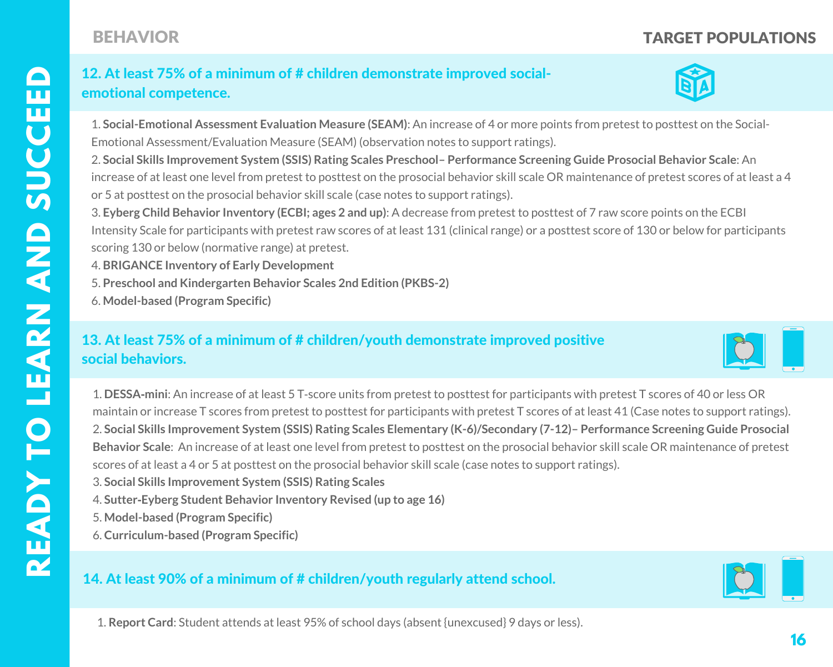# emotional competence. 12. At least 75% of a minimum of # children demonstrate improved social-



1. **Social-Emotional Assessment Evaluation Measure (SEAM)**: An increase of 4 or more points from pretest to posttest on the Social-Emotional Assessment/Evaluation Measure (SEAM) (observation notes to support ratings).

2. **Social Skills Improvement System (SSIS) Rating Scales Preschool– Performance Screening Guide Prosocial Behavior Scale**: An increase of at least one level from pretest to posttest on the prosocial behavior skill scale OR maintenance of pretest scores of at least a 4 or 5 at posttest on the prosocial behavior skill scale (case notes to support ratings).

3. **Eyberg Child Behavior Inventory (ECBI; ages 2 and up)**: A decrease from pretest to posttest of 7 raw score points on the ECBI Intensity Scale for participants with pretest raw scores of at least 131 (clinical range) or a posttest score of 130 or below for participants scoring 130 or below (normative range) at pretest.

- 4. **BRIGANCE Inventory of Early Development**
- 5. **Preschool and Kindergarten Behavior Scales 2nd Edition (PKBS-2)**
- 6. **Model-based (Program Specific)**

## 13. At least 75% of a minimum of # children/youth demonstrate improved positive social behaviors.



1. **DESSA‐mini**: An increase of at least 5 T‐score units from pretest to posttest for participants with pretest T scores of 40 or less OR maintain or increase T scores from pretest to posttest for participants with pretest T scores of at least 41 (Case notes to support ratings). 2. Social Skills Improvement System (SSIS) Rating Scales Elementary (K-6)/Secondary (7-12)- Performance Screening Guide Prosocial **Behavior Scale**: An increase of at least one level from pretest to posttest on the prosocial behavior skill scale OR maintenance of pretest scores of at least a 4 or 5 at posttest on the prosocial behavior skill scale (case notes to support ratings).

- 3. **Social Skills Improvement System (SSIS) Rating Scales**
- 4. **Sutter‐Eyberg Student Behavior Inventory Revised (up to age 16)**
- 5. **Model-based (Program Specific)**
- 6. **Curriculum-based (Program Specific)**

# 14. At least 90% of a minimum of # children/youth regularly attend school.



1. **Report Card**: Student attends at least 95% of school days (absent {unexcused} 9 days or less).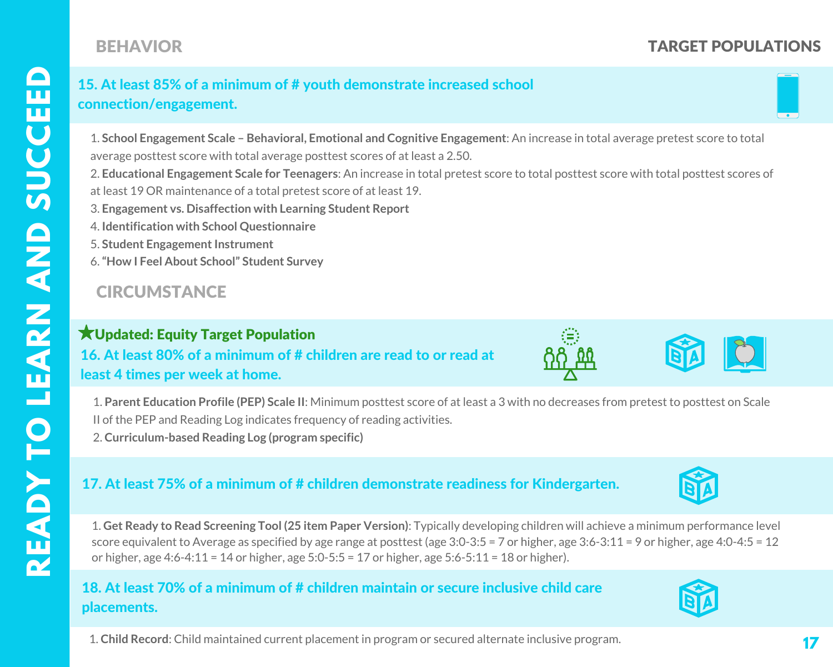# BEHAVIOR

# TARGET POPULATIONS

#### 15. At least 85% of a minimum of # youth demonstrate increased school connection/engagement.

1. **School Engagement Scale – Behavioral, Emotional and Cognitive Engagement**: An increase in total average pretest score to total average posttest score with total average posttest scores of at least a 2.50.

2. **Educational Engagement Scale for Teenagers**: An increase in total pretest score to total posttest score with total posttest scores of at least 19 OR maintenance of a total pretest score of at least 19.

- 3. **Engagement vs. Disaffection with Learning Student Report**
- 4. **Identification with School Questionnaire**
- **5. Student Engagement Instrument**
- 6.**"How I Feel About School" Student Survey**

# **CIRCUMSTANCE**

# $\bigstar$ Updated: Equity Target Population

 16. At least 80% of a minimum of # children are read to or read at least 4 times per week at home.

1. **Parent Education Profile (PEP) Scale II**: Minimum posttest score of at least a 3 with no decreases from pretest to posttest on Scale II of the PEP and Reading Log indicates frequency of reading activities.

2. **Curriculum-based Reading Log (program specific)**

#### 17. At least 75% of a minimum of # children demonstrate readiness for Kindergarten.

1. **Get Ready to Read Screening Tool (25 item Paper Version)**: Typically developing children will achieve a minimum performance level score equivalent to Average as specified by age range at posttest (age 3:0-3:5 = 7 or higher, age 3:6-3:11 = 9 or higher, age 4:0-4:5 = 12 or higher, age 4:6-4:11 = 14 or higher, age 5:0-5:5 = 17 or higher, age 5:6-5:11 = 18 or higher).

#### 18. At least 70% of a minimum of # children maintain or secure inclusive child care placements.

1. **Child Record**: Child maintained current placement in program or secured alternate inclusive program.





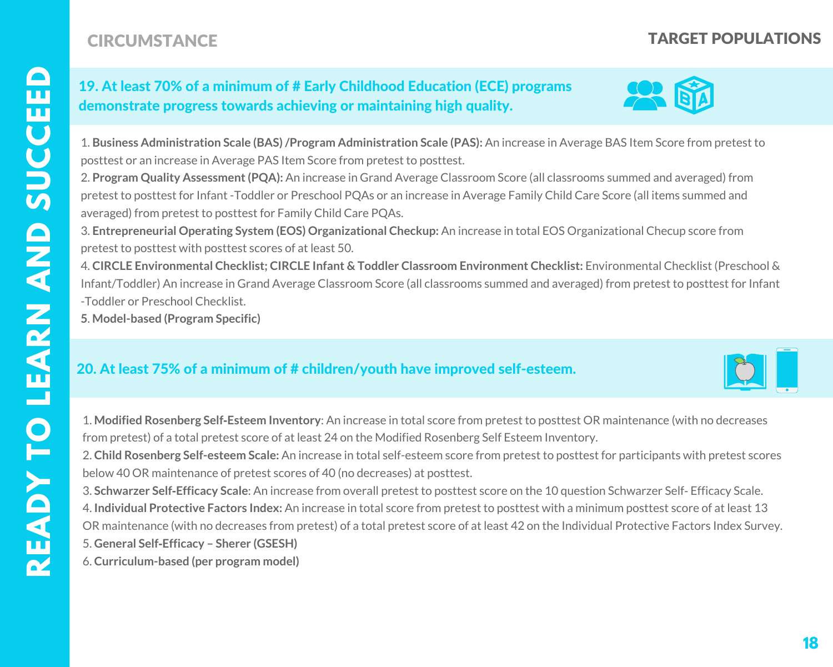**R**

# **CIRCUMSTANCE CONSTANCE CIRCUMSTANCE**

#### 19. At least 70% of a minimum of # Early Childhood Education (ECE) programs demonstrate progress towards achieving or maintaining high quality.

 1. **Business Administration Scale (BAS)/Program Administration Scale (PAS):** An increase in Average BAS Item Score from pretest to posttest or an increase in Average PAS Item Score from pretest to posttest.

 pretest to posttest for Infant -Toddler or Preschool PQAs or an increase in Average Family Child Care Score (all items summed and 2. **Program Quality Assessment(PQA):** An increase in Grand Average Classroom Score (all classrooms summed and averaged) from averaged) from pretest to posttest for Family Child Care PQAs.

 pretest to posttest with posttest scores of at least 50. 3. **Entrepreneurial Operating System (EOS) Organizational Checkup:** An increase in total EOS Organizational Checup score from

 4. **CIRCLE Environmental Checklist; CIRCLE Infant & Toddler Classroom Environment Checklist:** Environmental Checklist (Preschool & Infant/Toddler) An increase in Grand Average Classroom Score (all classrooms summed and averaged) from pretest to posttest for Infant -Toddler or Preschool Checklist.

**5**. **Model-based (Program Specific)**

#### 20. At least 75% of a minimum of # children/youth have improved self-esteem.

 from pretest) of a total pretest score of at least 24 on the Modified Rosenberg Self Esteem Inventory. 1. **Modified Rosenberg Self‐Esteem Inventory**: An increase in total score from pretest to posttest OR maintenance (with no decreases

2. **Child Rosenberg Self-esteem Scale:** An increase in total self-esteem score from pretest to posttest for participants with pretest scores below 40 OR maintenance of pretest scores of 40 (no decreases) at posttest.

3. **Schwarzer Self‐Efficacy Scale**: An increase from overall pretest to posttest score on the 10 question Schwarzer Self‐ Efficacy Scale. 4. **Individual Protective Factors Index:** An increase in total score from pretest to posttest with a minimum posttest score of at least 13 OR maintenance (with no decreases from pretest) of a total pretest score of at least 42 on the Individual Protective Factors Index Survey.

5. **General Self‐Efficacy – Sherer (GSESH)**

6. **Curriculum-based (per program model)**



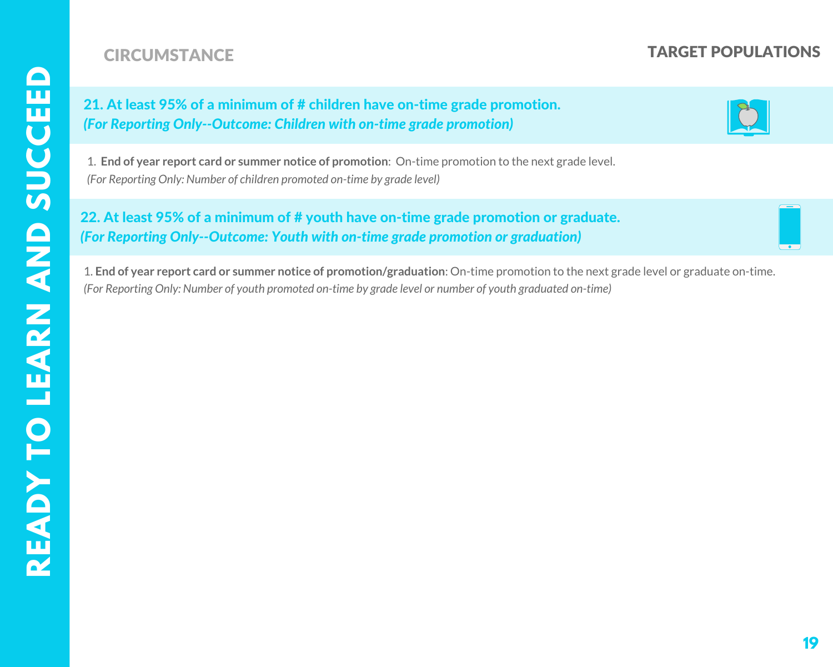# **CIRCUMSTANCE CONSTANCE CIRCUMSTANCE**

21. At least 95% of a minimum of # children have on-time grade promotion. *(For Reporting Only--Outcome: Children with on-time grade promotion)*

1. **End of year report card or summer notice of promotion**: On-time promotion to the next grade level. *(For Reporting Only: Number of children promoted on-time by grade level)*

22. At least 95% of a minimum of # youth have on-time grade promotion or graduate. *(For Reporting Only--Outcome: Youth with on-time grade promotion or graduation)*

 1. **End of year report card or summer notice of promotion/graduation**: On-time promotion to the next grade level or graduate on-time. (For Reporting Only: Number of youth promoted on-time by grade level or number of youth graduated on-time)

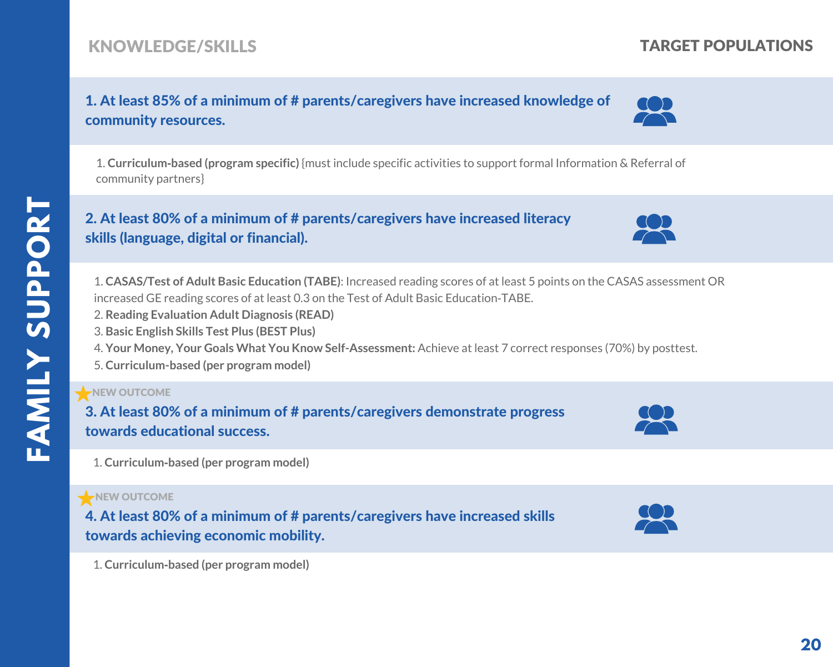# KNOWLEDGE/SKILLS

# 1. At least 85% of a minimum of # parents/caregivers have increased knowledge of community resources.

1. **Curriculum‐based (program specific)** {must include specific activities to support formal Information & Referral of community partners}

#### 2. At least 80% of a minimum of # parents/caregivers have increased literacy skills (language, digital or financial).

1. **CASAS/Test of Adult Basic Education (TABE)**: Increased reading scores of at least 5 points on the CASAS assessment OR increased GE reading scores of at least 0.3 on the Test of Adult Basic Education‐TABE.

- 2. **Reading Evaluation Adult Diagnosis (READ)**
- 3. **Basic English Skills Test Plus (BEST Plus)**
- 4. **Your Money, Your Goals What You Know Self-Assessment:** Achieve at least 7 correct responses (70%) by posttest.
- 5. **Curriculum-based (per program model)**

#### NEW OUTCOME

3. At least 80% of a minimum of # parents/caregivers demonstrate progress towards educational success.

1. **Curriculum‐based (per program model)**

#### NEW OUTCOME

4. At least 80% of a minimum of # parents/caregivers have increased skills towards achieving economic mobility.

1. **Curriculum‐based (per program model)**











TARGET POPULATIONS

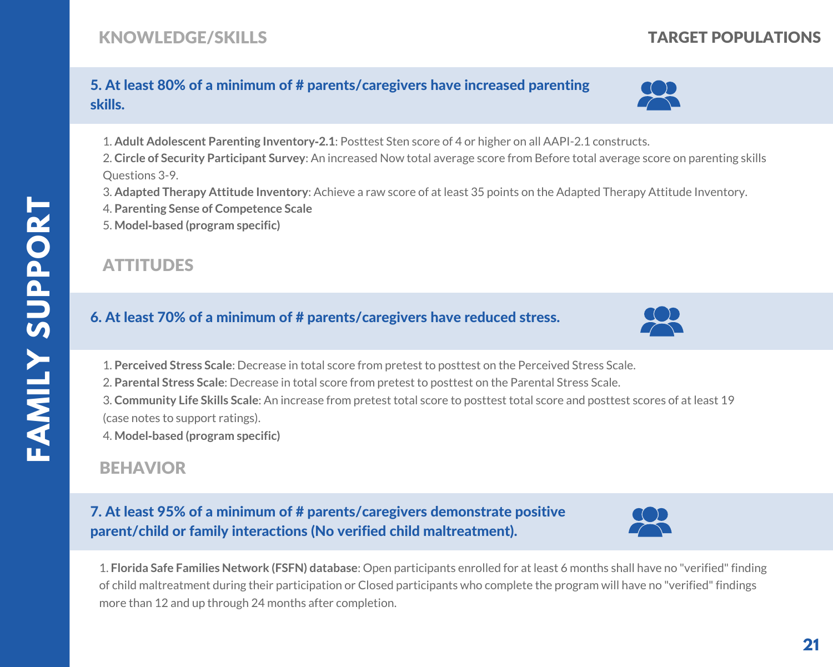# TARGET POPULATIONS

### 5. At least 80% of a minimum of # parents/caregivers have increased parenting skills.

- 1. **Adult Adolescent Parenting Inventory‐2.1**: Posttest Sten score of 4 or higher on all AAPI-2.1 constructs.
- 2. **Circle of Security Participant Survey**: An increased Now total average score from Before total average score on parenting skills Questions 3-9.
- 3. **Adapted Therapy Attitude Inventory**: Achieve a raw score of at least 35 points on the Adapted Therapy Attitude Inventory.
- 4. **Parenting Sense of Competence Scale**
- 5. **Model‐based (program specific)**

## **ATTITUDES**

#### 6. At least 70% of a minimum of # parents/caregivers have reduced stress.

- 1. **Perceived Stress Scale**: Decrease in total score from pretest to posttest on the Perceived Stress Scale.
- 2. **Parental Stress Scale**: Decrease in total score from pretest to posttest on the Parental Stress Scale.
- 3. **Community Life Skills Scale**: An increase from pretest total score to posttest total score and posttest scores of at least 19 (case notes to support ratings).
- 4. **Model‐based (program specific)**

# BEHAVIOR

#### 7. At least 95% of a minimum of # parents/caregivers demonstrate positive parent/child or family interactions (No verified child maltreatment).



1. **Florida Safe Families Network (FSFN) database**: Open participants enrolled for at least 6 months shall have no "verified"finding of child maltreatment during their participation or Closed participants who complete the program will have no "verified"findings more than 12 and up through 24 months after completion.



22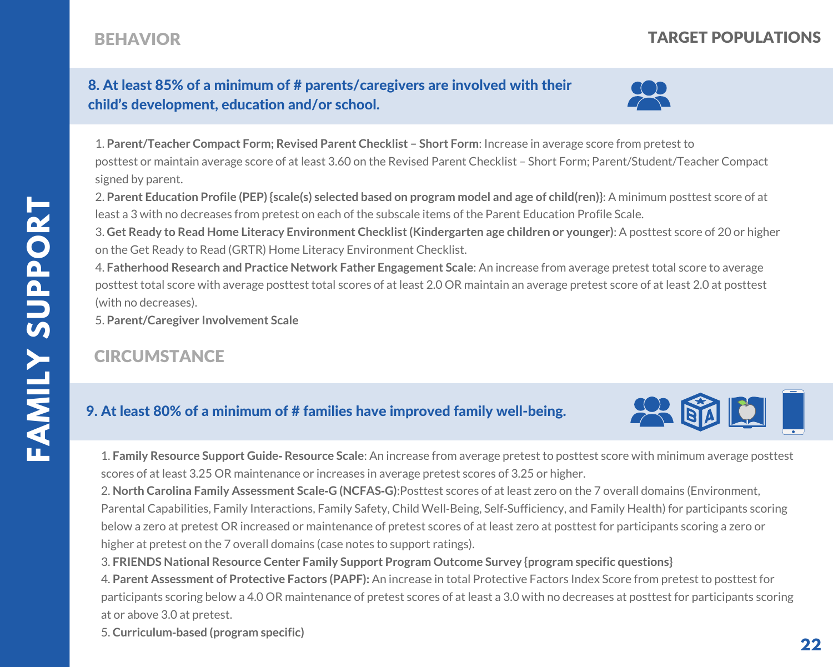# BEHAVIOR TARGET POPULATIONS

#### 8. At least 85% of a minimum of # parents/caregivers are involved with their child's development, education and/or school.



1. **Parent/Teacher Compact Form; Revised Parent Checklist – Short Form**: Increase in average score from pretest to posttest or maintain average score of at least 3.60 on the Revised Parent Checklist – Short Form; Parent/Student/Teacher Compact signed by parent.

2. Parent Education Profile (PEP) {scale(s) selected based on program model and age of child(ren)}: A minimum posttest score of at least a 3 with no decreases from pretest on each of the subscale items of the Parent Education Profile Scale.

3. **Get Ready to Read Home Literacy Environment Checklist(Kindergarten age children or younger)**: A posttest score of 20 or higher on the Get Ready to Read (GRTR) Home Literacy Environment Checklist.

4. **Fatherhood Research and Practice Network Father Engagement Scale**: An increase from average pretest total score to average posttest total score with average posttest total scores of at least 2.0 OR maintain an average pretest score of at least 2.0 at posttest (with no decreases).

5. **Parent/Caregiver Involvement Scale**

# **CIRCUMSTANCE**

#### 9. At least 80% of a minimum of # families have improved family well-being.



1. **Family Resource Support Guide‐ Resource Scale**: An increase from average pretest to posttest score with minimum average posttest scores of at least 3.25 OR maintenance or increases in average pretest scores of 3.25 or higher.

2. **North Carolina Family Assessment Scale‐G (NCFAS‐G)**:Posttest scores of at least zero on the 7 overall domains (Environment, Parental Capabilities, Family Interactions, Family Safety, Child Well‐Being, Self‐Sufficiency, and Family Health) for participants scoring below a zero at pretest OR increased or maintenance of pretest scores of at least zero at posttest for participants scoring a zero or higher at pretest on the 7 overall domains (case notes to support ratings).

3. **FRIENDS National Resource Center Family Support Program Outcome Survey {program specific questions}**

4. **Parent Assessment of Protective Factors (PAPF):** An increase in total Protective Factors Index Score from pretest to posttest for participants scoring below a 4.0 OR maintenance of pretest scores of at least a 3.0 with no decreases at posttest for participants scoring at or above 3.0 at pretest.

5. **Curriculum‐based (program specific)**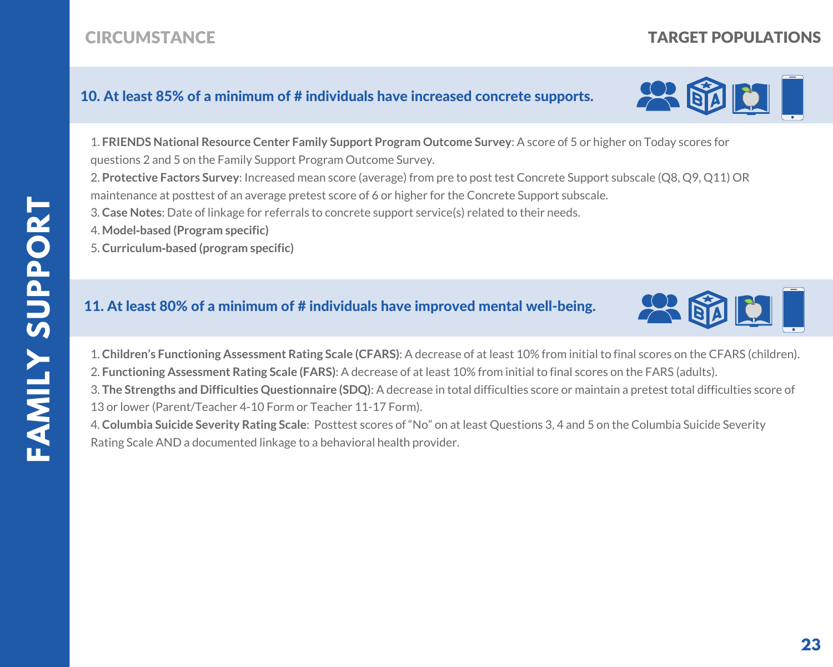# **CIRCUMSTANCE**

#### 10. At least 85% of a minimum of # individuals have increased concrete supports.

1. **FRIENDS National Resource Center Family Support Program Outcome Survey**: A score of 5 or higher on Today scores for questions 2 and 5 on the Family Support Program Outcome Survey.

2. **Protective Factors Survey**: Increased mean score (average) from pre to post test Concrete Support subscale (Q8, Q9, Q11) OR maintenance at posttest of an average pretest score of 6 or higher for the Concrete Support subscale.

3. **Case Notes**: Date of linkage for referrals to concrete support service(s) related to their needs.

4. **Model‐based (Program specific)**

5. **Curriculum‐based (program specific)**

#### 11. At least 80% of a minimum of # individuals have improved mental well-being.

1. **Children's Functioning Assessment Rating Scale (CFARS)**: A decrease of at least 10% from initial to final scores on the CFARS (children). 2. **Functioning Assessment Rating Scale (FARS)**: A decrease of at least 10% from initial to final scores on the FARS (adults).

3. **The Strengths and Difficulties Questionnaire (SDQ)**: A decrease in total difficulties score or maintain a pretest total difficulties score of 13 or lower (Parent/Teacher 4-10 Form or Teacher 11-17 Form).

4. **Columbia Suicide Severity Rating Scale**: Posttest scores of "No" on at least Questions 3, 4 and 5 on the Columbia Suicide Severity Rating Scale AND a documented linkage to a behavioral health provider.







TARGET POPULATIONS